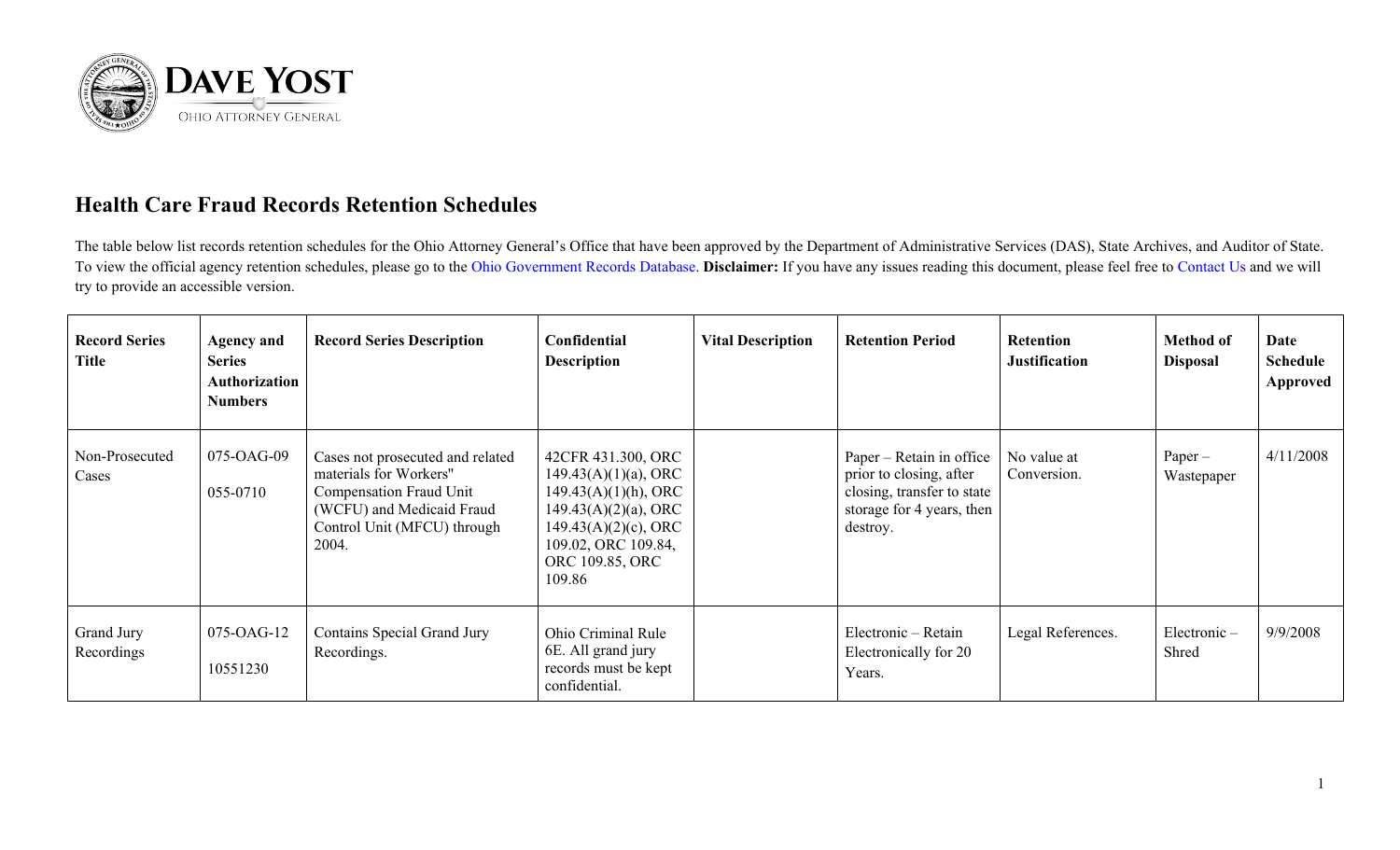

## **Health Care Fraud Records Retention Schedules**

The table below list records retention schedules for the Ohio Attorney General's Office that have been approved by the Department of Administrative Services (DAS), State Archives, and Auditor of State. To view the official agency retention schedules, please go to the [Ohio Government Records Database.](https://apps.das.ohio.gov/rims/default/Default.asp) **Disclaimer:** If you have any issues reading this document, please feel free to [Contact Us](https://www.ohioattorneygeneral.gov/About-AG/Contact) and we will try to provide an accessible version.

| <b>Record Series</b><br><b>Title</b> | <b>Agency and</b><br><b>Series</b><br><b>Authorization</b><br><b>Numbers</b> | <b>Record Series Description</b>                                                                                                                           | Confidential<br><b>Description</b>                                                                                                                                                 | <b>Vital Description</b> | <b>Retention Period</b>                                                                                                    | Retention<br><b>Justification</b> | <b>Method of</b><br><b>Disposal</b> | Date<br><b>Schedule</b><br>Approved |
|--------------------------------------|------------------------------------------------------------------------------|------------------------------------------------------------------------------------------------------------------------------------------------------------|------------------------------------------------------------------------------------------------------------------------------------------------------------------------------------|--------------------------|----------------------------------------------------------------------------------------------------------------------------|-----------------------------------|-------------------------------------|-------------------------------------|
| Non-Prosecuted<br>Cases              | 075-OAG-09<br>055-0710                                                       | Cases not prosecuted and related<br>materials for Workers"<br>Compensation Fraud Unit<br>(WCFU) and Medicaid Fraud<br>Control Unit (MFCU) through<br>2004. | 42CFR 431.300, ORC<br>$149.43(A)(1)(a)$ , ORC<br>$149.43(A)(1)(h)$ , ORC<br>$149.43(A)(2)(a)$ , ORC<br>$149.43(A)(2)(c)$ , ORC<br>109.02, ORC 109.84,<br>ORC 109.85, ORC<br>109.86 |                          | Paper – Retain in office<br>prior to closing, after<br>closing, transfer to state<br>storage for 4 years, then<br>destroy. | No value at<br>Conversion.        | $Paper -$<br>Wastepaper             | 4/11/2008                           |
| Grand Jury<br>Recordings             | 075-OAG-12<br>10551230                                                       | Contains Special Grand Jury<br>Recordings.                                                                                                                 | Ohio Criminal Rule<br>6E. All grand jury<br>records must be kept<br>confidential.                                                                                                  |                          | Electronic – Retain<br>Electronically for 20<br>Years.                                                                     | Legal References.                 | Electronic-<br>Shred                | 9/9/2008                            |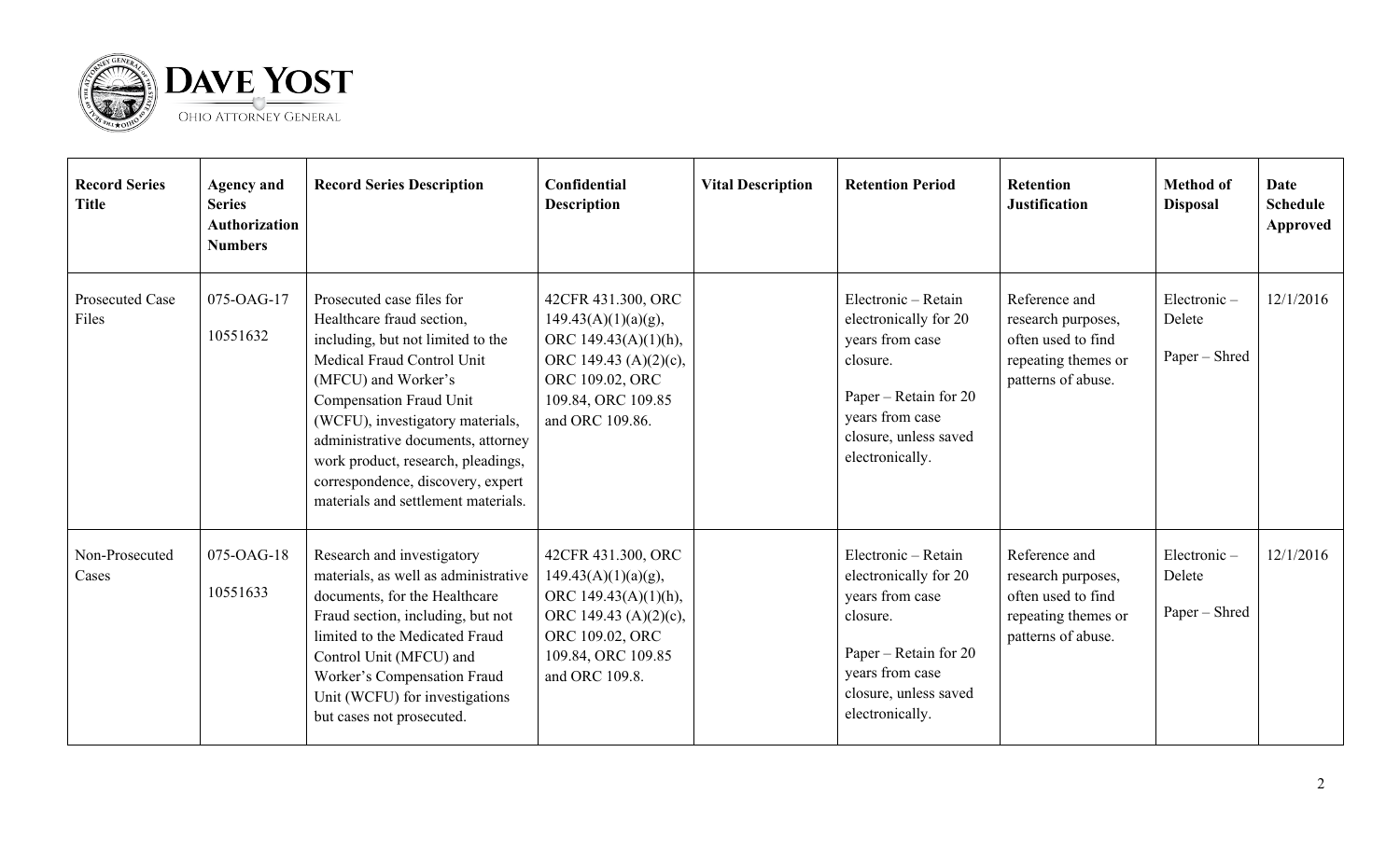

| <b>Record Series</b><br><b>Title</b> | <b>Agency and</b><br><b>Series</b><br><b>Authorization</b><br><b>Numbers</b> | <b>Record Series Description</b>                                                                                                                                                                                                                                                                                                                                        | Confidential<br><b>Description</b>                                                                                                                              | <b>Vital Description</b> | <b>Retention Period</b>                                                                                                                                             | <b>Retention</b><br><b>Justification</b>                                                               | <b>Method of</b><br><b>Disposal</b>    | Date<br><b>Schedule</b><br>Approved |
|--------------------------------------|------------------------------------------------------------------------------|-------------------------------------------------------------------------------------------------------------------------------------------------------------------------------------------------------------------------------------------------------------------------------------------------------------------------------------------------------------------------|-----------------------------------------------------------------------------------------------------------------------------------------------------------------|--------------------------|---------------------------------------------------------------------------------------------------------------------------------------------------------------------|--------------------------------------------------------------------------------------------------------|----------------------------------------|-------------------------------------|
| Prosecuted Case<br>Files             | 075-OAG-17<br>10551632                                                       | Prosecuted case files for<br>Healthcare fraud section,<br>including, but not limited to the<br>Medical Fraud Control Unit<br>(MFCU) and Worker's<br>Compensation Fraud Unit<br>(WCFU), investigatory materials,<br>administrative documents, attorney<br>work product, research, pleadings,<br>correspondence, discovery, expert<br>materials and settlement materials. | 42CFR 431.300, ORC<br>$149.43(A)(1)(a)(g)$ ,<br>ORC $149.43(A)(1)(h)$ ,<br>ORC 149.43 $(A)(2)(c)$ ,<br>ORC 109.02, ORC<br>109.84, ORC 109.85<br>and ORC 109.86. |                          | Electronic - Retain<br>electronically for 20<br>years from case<br>closure.<br>Paper – Retain for 20<br>years from case<br>closure, unless saved<br>electronically. | Reference and<br>research purposes,<br>often used to find<br>repeating themes or<br>patterns of abuse. | Electronic-<br>Delete<br>Paper - Shred | 12/1/2016                           |
| Non-Prosecuted<br>Cases              | 075-OAG-18<br>10551633                                                       | Research and investigatory<br>materials, as well as administrative<br>documents, for the Healthcare<br>Fraud section, including, but not<br>limited to the Medicated Fraud<br>Control Unit (MFCU) and<br>Worker's Compensation Fraud<br>Unit (WCFU) for investigations<br>but cases not prosecuted.                                                                     | 42CFR 431.300, ORC<br>$149.43(A)(1)(a)(g)$ ,<br>ORC 149.43(A)(1)(h),<br>ORC 149.43 (A) $(2)(c)$ ,<br>ORC 109.02, ORC<br>109.84, ORC 109.85<br>and ORC 109.8.    |                          | Electronic - Retain<br>electronically for 20<br>years from case<br>closure.<br>Paper – Retain for 20<br>years from case<br>closure, unless saved<br>electronically. | Reference and<br>research purposes,<br>often used to find<br>repeating themes or<br>patterns of abuse. | Electronic-<br>Delete<br>Paper - Shred | 12/1/2016                           |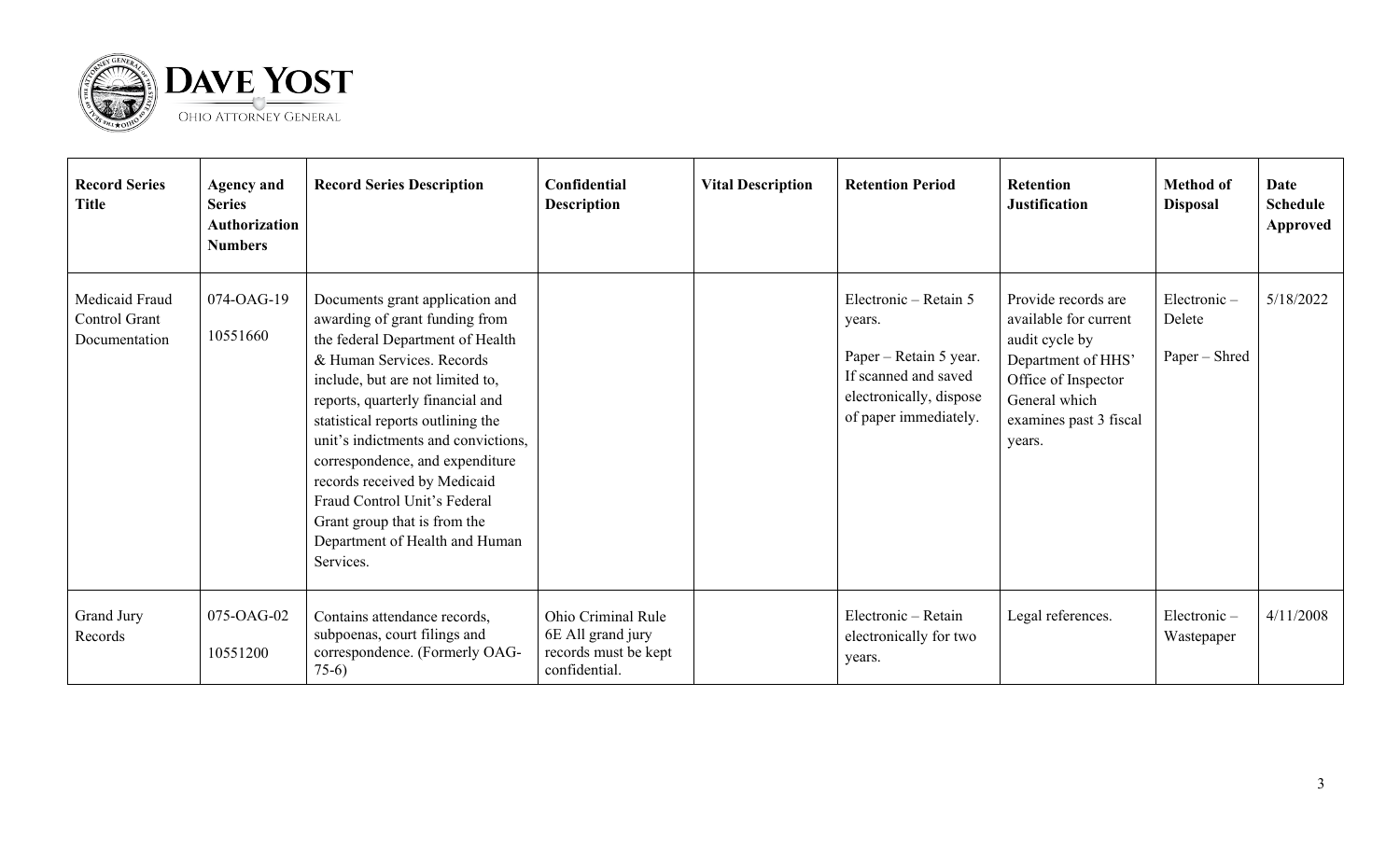

| <b>Record Series</b><br><b>Title</b>             | <b>Agency and</b><br><b>Series</b><br><b>Authorization</b><br><b>Numbers</b> | <b>Record Series Description</b>                                                                                                                                                                                                                                                                                                                                                                                                                                         | Confidential<br><b>Description</b>                                               | <b>Vital Description</b> | <b>Retention Period</b>                                                                                                               | <b>Retention</b><br><b>Justification</b>                                                                                                                         | <b>Method of</b><br><b>Disposal</b>    | Date<br><b>Schedule</b><br>Approved |
|--------------------------------------------------|------------------------------------------------------------------------------|--------------------------------------------------------------------------------------------------------------------------------------------------------------------------------------------------------------------------------------------------------------------------------------------------------------------------------------------------------------------------------------------------------------------------------------------------------------------------|----------------------------------------------------------------------------------|--------------------------|---------------------------------------------------------------------------------------------------------------------------------------|------------------------------------------------------------------------------------------------------------------------------------------------------------------|----------------------------------------|-------------------------------------|
| Medicaid Fraud<br>Control Grant<br>Documentation | 074-OAG-19<br>10551660                                                       | Documents grant application and<br>awarding of grant funding from<br>the federal Department of Health<br>& Human Services. Records<br>include, but are not limited to,<br>reports, quarterly financial and<br>statistical reports outlining the<br>unit's indictments and convictions,<br>correspondence, and expenditure<br>records received by Medicaid<br>Fraud Control Unit's Federal<br>Grant group that is from the<br>Department of Health and Human<br>Services. |                                                                                  |                          | Electronic - Retain 5<br>years.<br>Paper – Retain 5 year.<br>If scanned and saved<br>electronically, dispose<br>of paper immediately. | Provide records are<br>available for current<br>audit cycle by<br>Department of HHS'<br>Office of Inspector<br>General which<br>examines past 3 fiscal<br>years. | Electronic-<br>Delete<br>Paper – Shred | 5/18/2022                           |
| Grand Jury<br>Records                            | 075-OAG-02<br>10551200                                                       | Contains attendance records,<br>subpoenas, court filings and<br>correspondence. (Formerly OAG-<br>$75-6$                                                                                                                                                                                                                                                                                                                                                                 | Ohio Criminal Rule<br>6E All grand jury<br>records must be kept<br>confidential. |                          | Electronic - Retain<br>electronically for two<br>years.                                                                               | Legal references.                                                                                                                                                | Electronic-<br>Wastepaper              | 4/11/2008                           |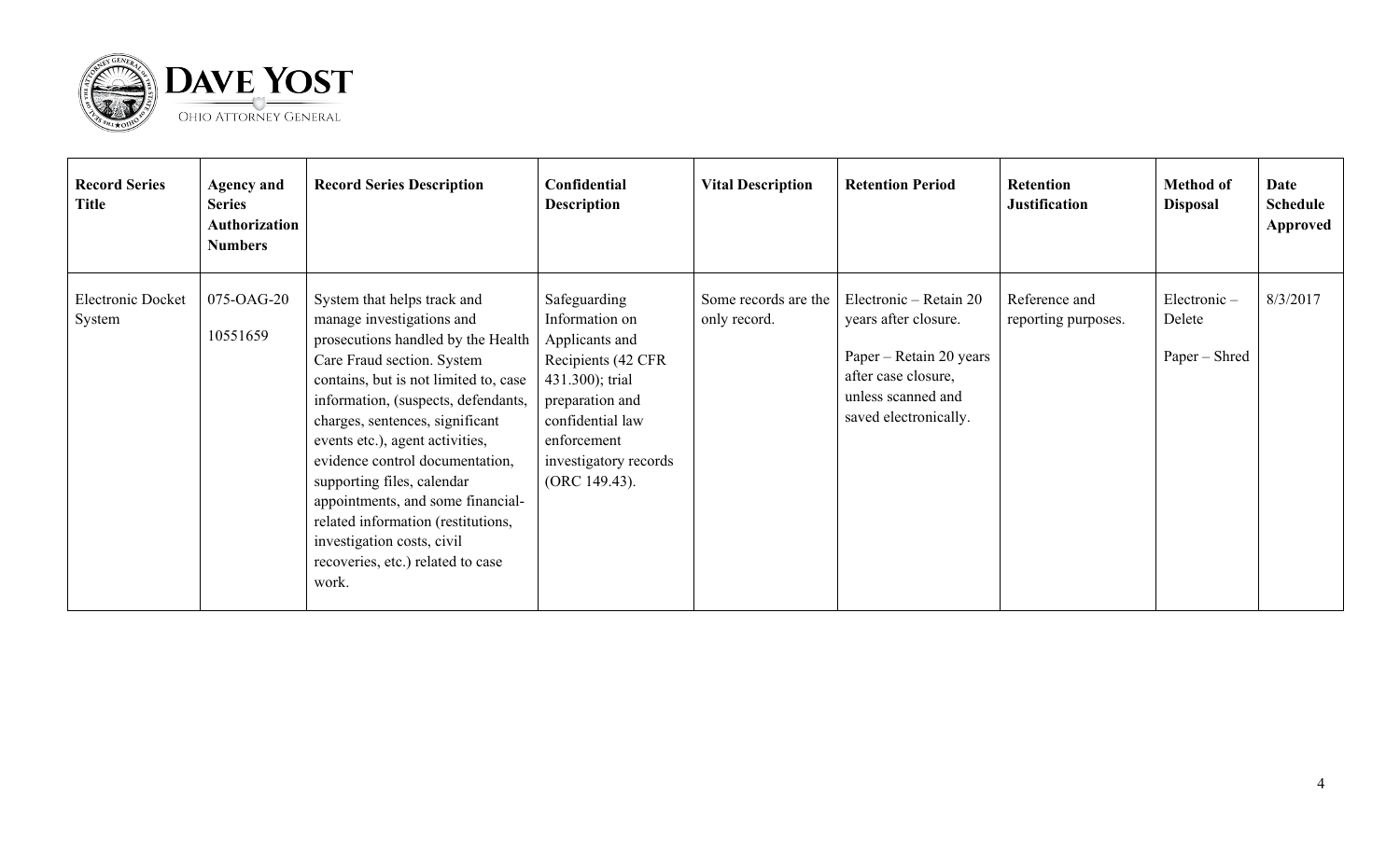

| <b>Record Series</b><br><b>Title</b> | <b>Agency and</b><br><b>Series</b><br>Authorization<br><b>Numbers</b> | <b>Record Series Description</b>                                                                                                                                                                                                                                                                                                                                                                                                                                                                           | Confidential<br><b>Description</b>                                                                                                                                                        | <b>Vital Description</b>             | <b>Retention Period</b>                                                                                                                         | <b>Retention</b><br><b>Justification</b> | <b>Method of</b><br><b>Disposal</b>    | Date<br>Schedule<br>Approved |
|--------------------------------------|-----------------------------------------------------------------------|------------------------------------------------------------------------------------------------------------------------------------------------------------------------------------------------------------------------------------------------------------------------------------------------------------------------------------------------------------------------------------------------------------------------------------------------------------------------------------------------------------|-------------------------------------------------------------------------------------------------------------------------------------------------------------------------------------------|--------------------------------------|-------------------------------------------------------------------------------------------------------------------------------------------------|------------------------------------------|----------------------------------------|------------------------------|
| <b>Electronic Docket</b><br>System   | 075-OAG-20<br>10551659                                                | System that helps track and<br>manage investigations and<br>prosecutions handled by the Health<br>Care Fraud section. System<br>contains, but is not limited to, case<br>information, (suspects, defendants,<br>charges, sentences, significant<br>events etc.), agent activities,<br>evidence control documentation,<br>supporting files, calendar<br>appointments, and some financial-<br>related information (restitutions,<br>investigation costs, civil<br>recoveries, etc.) related to case<br>work. | Safeguarding<br>Information on<br>Applicants and<br>Recipients (42 CFR<br>431.300); trial<br>preparation and<br>confidential law<br>enforcement<br>investigatory records<br>(ORC 149.43). | Some records are the<br>only record. | Electronic – Retain 20<br>years after closure.<br>Paper – Retain 20 years<br>after case closure,<br>unless scanned and<br>saved electronically. | Reference and<br>reporting purposes.     | Electronic-<br>Delete<br>Paper – Shred | 8/3/2017                     |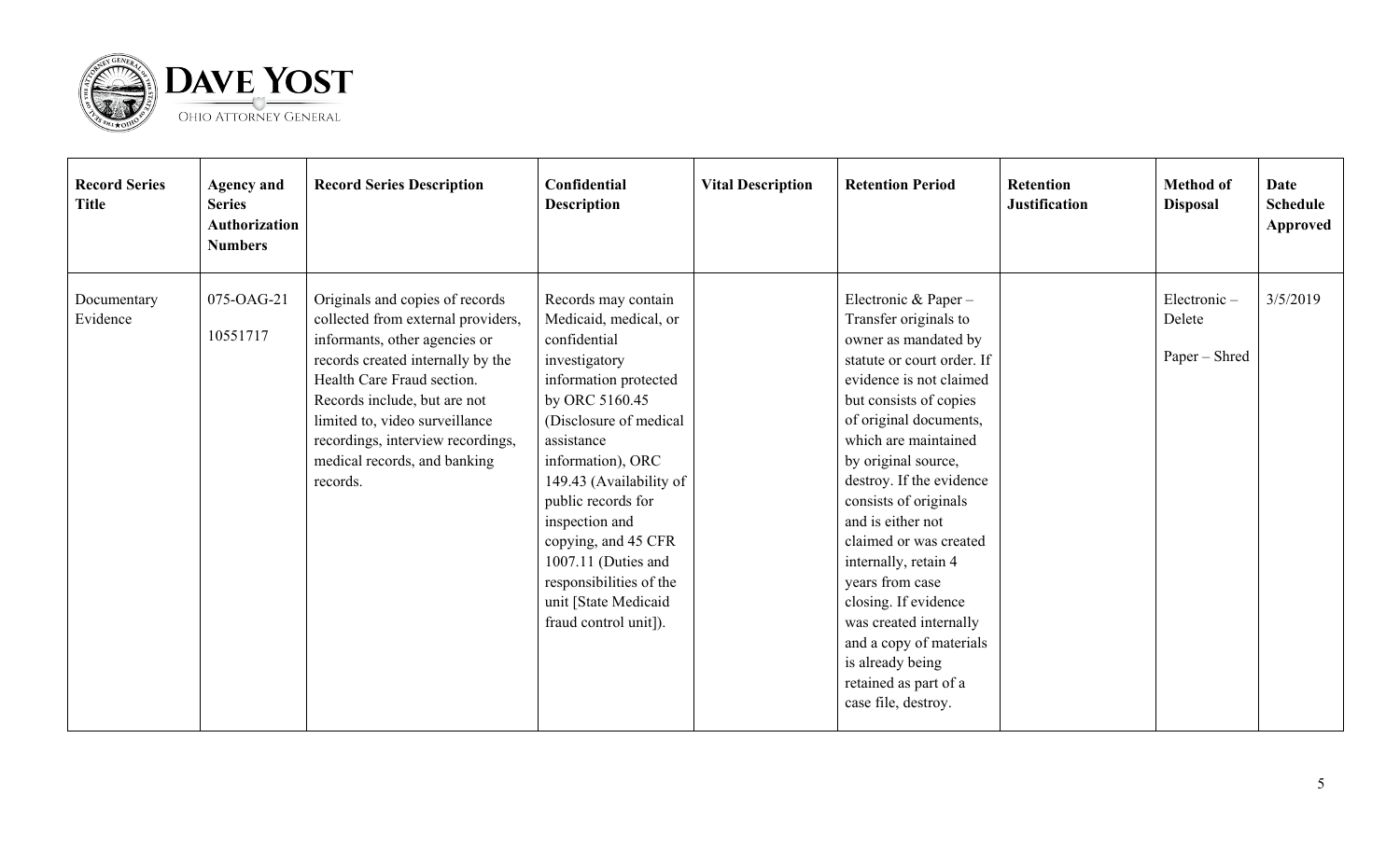

| <b>Record Series</b><br><b>Title</b> | <b>Agency and</b><br><b>Series</b><br><b>Authorization</b><br><b>Numbers</b> | <b>Record Series Description</b>                                                                                                                                                                                                                                                                                             | Confidential<br><b>Description</b>                                                                                                                                                                                                                                                                                                                                                 | <b>Vital Description</b> | <b>Retention Period</b>                                                                                                                                                                                                                                                                                                                                                                                                                                                                                                           | <b>Retention</b><br><b>Justification</b> | <b>Method of</b><br><b>Disposal</b>    | Date<br><b>Schedule</b><br>Approved |
|--------------------------------------|------------------------------------------------------------------------------|------------------------------------------------------------------------------------------------------------------------------------------------------------------------------------------------------------------------------------------------------------------------------------------------------------------------------|------------------------------------------------------------------------------------------------------------------------------------------------------------------------------------------------------------------------------------------------------------------------------------------------------------------------------------------------------------------------------------|--------------------------|-----------------------------------------------------------------------------------------------------------------------------------------------------------------------------------------------------------------------------------------------------------------------------------------------------------------------------------------------------------------------------------------------------------------------------------------------------------------------------------------------------------------------------------|------------------------------------------|----------------------------------------|-------------------------------------|
| Documentary<br>Evidence              | 075-OAG-21<br>10551717                                                       | Originals and copies of records<br>collected from external providers,<br>informants, other agencies or<br>records created internally by the<br>Health Care Fraud section.<br>Records include, but are not<br>limited to, video surveillance<br>recordings, interview recordings,<br>medical records, and banking<br>records. | Records may contain<br>Medicaid, medical, or<br>confidential<br>investigatory<br>information protected<br>by ORC 5160.45<br>(Disclosure of medical<br>assistance<br>information), ORC<br>149.43 (Availability of<br>public records for<br>inspection and<br>copying, and 45 CFR<br>1007.11 (Duties and<br>responsibilities of the<br>unit [State Medicaid<br>fraud control unit]). |                          | Electronic & Paper -<br>Transfer originals to<br>owner as mandated by<br>statute or court order. If<br>evidence is not claimed<br>but consists of copies<br>of original documents,<br>which are maintained<br>by original source,<br>destroy. If the evidence<br>consists of originals<br>and is either not<br>claimed or was created<br>internally, retain 4<br>years from case<br>closing. If evidence<br>was created internally<br>and a copy of materials<br>is already being<br>retained as part of a<br>case file, destroy. |                                          | Electronic-<br>Delete<br>Paper – Shred | 3/5/2019                            |